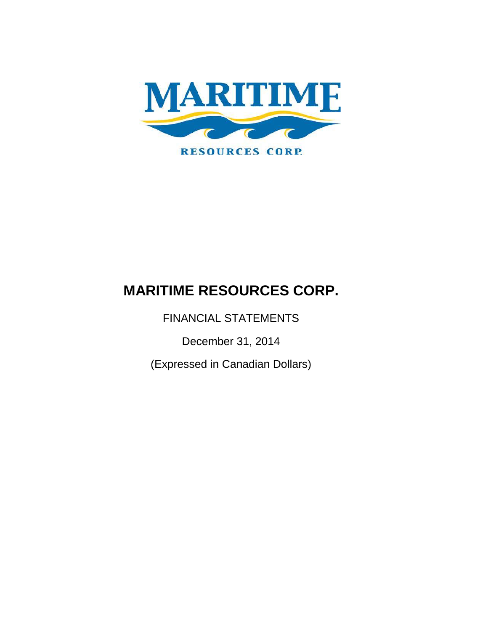

FINANCIAL STATEMENTS

December 31, 2014

(Expressed in Canadian Dollars)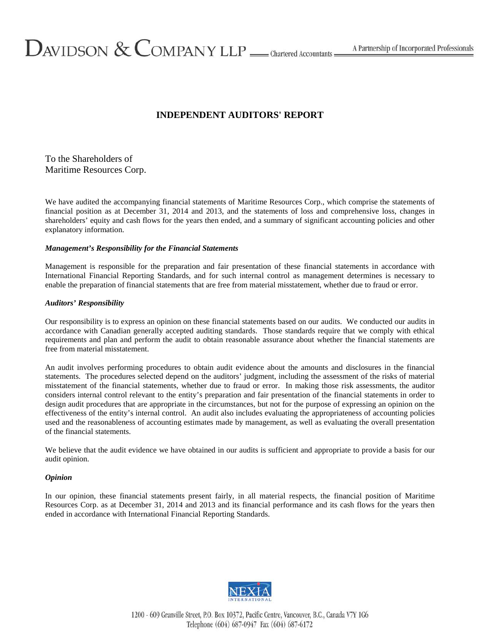# **INDEPENDENT AUDITORS' REPORT**

# To the Shareholders of Maritime Resources Corp.

We have audited the accompanying financial statements of Maritime Resources Corp., which comprise the statements of financial position as at December 31, 2014 and 2013, and the statements of loss and comprehensive loss, changes in shareholders' equity and cash flows for the years then ended, and a summary of significant accounting policies and other explanatory information.

## *Management's Responsibility for the Financial Statements*

Management is responsible for the preparation and fair presentation of these financial statements in accordance with International Financial Reporting Standards, and for such internal control as management determines is necessary to enable the preparation of financial statements that are free from material misstatement, whether due to fraud or error.

#### *Auditors' Responsibility*

Our responsibility is to express an opinion on these financial statements based on our audits. We conducted our audits in accordance with Canadian generally accepted auditing standards. Those standards require that we comply with ethical requirements and plan and perform the audit to obtain reasonable assurance about whether the financial statements are free from material misstatement.

An audit involves performing procedures to obtain audit evidence about the amounts and disclosures in the financial statements. The procedures selected depend on the auditors' judgment, including the assessment of the risks of material misstatement of the financial statements, whether due to fraud or error. In making those risk assessments, the auditor considers internal control relevant to the entity's preparation and fair presentation of the financial statements in order to design audit procedures that are appropriate in the circumstances, but not for the purpose of expressing an opinion on the effectiveness of the entity's internal control. An audit also includes evaluating the appropriateness of accounting policies used and the reasonableness of accounting estimates made by management, as well as evaluating the overall presentation of the financial statements.

We believe that the audit evidence we have obtained in our audits is sufficient and appropriate to provide a basis for our audit opinion.

#### *Opinion*

In our opinion, these financial statements present fairly, in all material respects, the financial position of Maritime Resources Corp. as at December 31, 2014 and 2013 and its financial performance and its cash flows for the years then ended in accordance with International Financial Reporting Standards.



1200 - 609 Granville Street, P.O. Box 10372, Pacific Centre, Vancouver, B.C., Canada V7Y 1G6 Telephone (604) 687-0947 Fax (604) 687-6172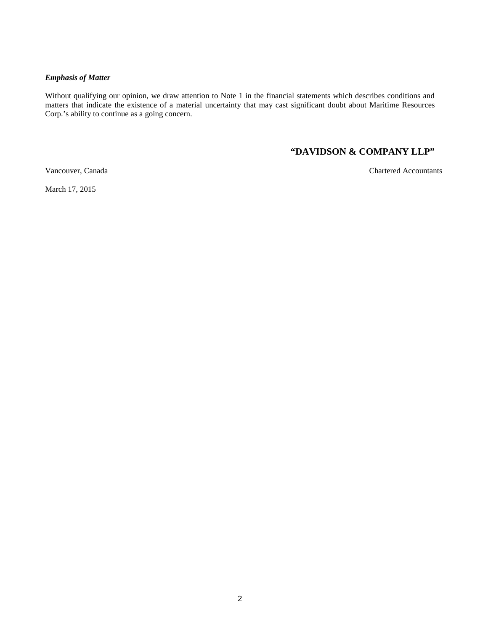#### *Emphasis of Matter*

Without qualifying our opinion, we draw attention to Note 1 in the financial statements which describes conditions and matters that indicate the existence of a material uncertainty that may cast significant doubt about Maritime Resources Corp.'s ability to continue as a going concern.

# **"DAVIDSON & COMPANY LLP"**

Vancouver, Canada Chartered Accountants

March 17, 2015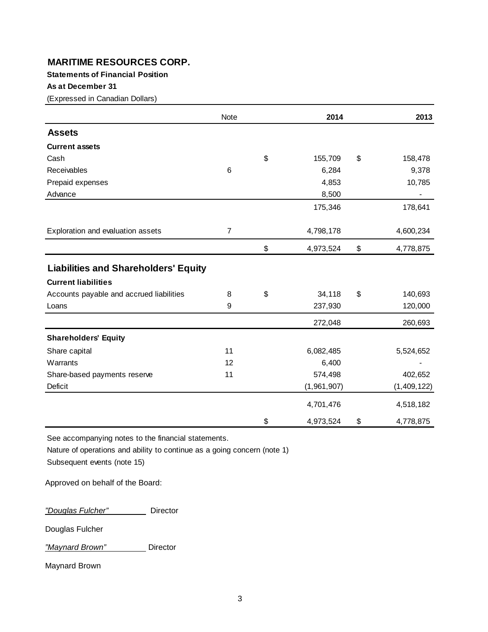# **Statements of Financial Position**

# **As at December 31**

(Expressed in Canadian Dollars)

|                                             | Note           | 2014            | 2013            |
|---------------------------------------------|----------------|-----------------|-----------------|
| <b>Assets</b>                               |                |                 |                 |
| <b>Current assets</b>                       |                |                 |                 |
| Cash                                        |                | \$<br>155,709   | \$<br>158,478   |
| Receivables                                 | $\,6$          | 6,284           | 9,378           |
| Prepaid expenses                            |                | 4,853           | 10,785          |
| Advance                                     |                | 8,500           |                 |
|                                             |                | 175,346         | 178,641         |
| Exploration and evaluation assets           | $\overline{7}$ | 4,798,178       | 4,600,234       |
|                                             |                | \$<br>4,973,524 | \$<br>4,778,875 |
| <b>Liabilities and Shareholders' Equity</b> |                |                 |                 |
| <b>Current liabilities</b>                  |                |                 |                 |
| Accounts payable and accrued liabilities    | 8              | \$<br>34,118    | \$<br>140,693   |
| Loans                                       | 9              | 237,930         | 120,000         |
|                                             |                | 272,048         | 260,693         |
| <b>Shareholders' Equity</b>                 |                |                 |                 |
| Share capital                               | 11             | 6,082,485       | 5,524,652       |
| Warrants                                    | 12             | 6,400           |                 |
| Share-based payments reserve                | 11             | 574,498         | 402,652         |
| <b>Deficit</b>                              |                | (1,961,907)     | (1,409,122)     |
|                                             |                | 4,701,476       | 4,518,182       |
|                                             |                | \$<br>4,973,524 | \$<br>4,778,875 |

See accompanying notes to the financial statements.

Nature of operations and ability to continue as a going concern (note 1)

Subsequent events (note 15)

Approved on behalf of the Board:

*"Douglas Fulcher"* Director

Douglas Fulcher

<u>"Maynard Brown" </u> Director

Maynard Brown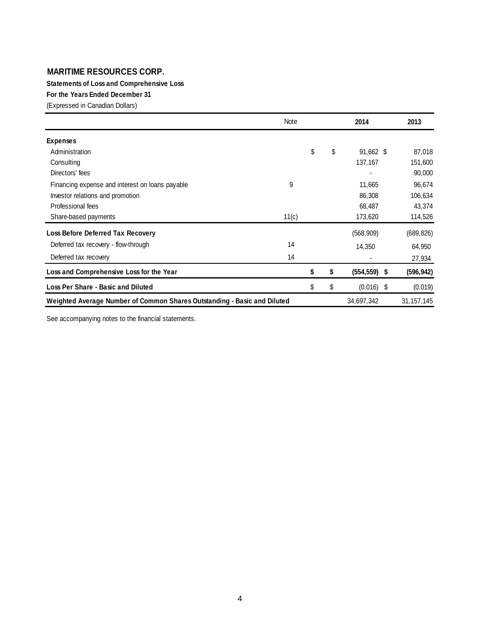**Statements of Loss and Comprehensive Loss**

**For the Years Ended December 31**

(Expressed in Canadian Dollars)

| Note                                                                     |          | 2014         |      | 2013         |
|--------------------------------------------------------------------------|----------|--------------|------|--------------|
| <b>Expenses</b>                                                          |          |              |      |              |
| Administration                                                           | \$<br>\$ | 91,662 \$    |      | 87,018       |
| Consulting                                                               |          | 137,167      |      | 151,600      |
| Directors' fees                                                          |          | ٠            |      | 90,000       |
| 9<br>Financing expense and interest on loans payable                     |          | 11,665       |      | 96,674       |
| Investor relations and promotion                                         |          | 86,308       |      | 106,634      |
| Professional fees                                                        |          | 68,487       |      | 43,374       |
| Share-based payments<br>11(c)                                            |          | 173,620      |      | 114,526      |
| Loss Before Deferred Tax Recovery                                        |          | (568, 909)   |      | (689, 826)   |
| 14<br>Deferred tax recovery - flow-through                               |          | 14,350       |      | 64,950       |
| 14<br>Deferred tax recovery                                              |          |              |      | 27,934       |
| Loss and Comprehensive Loss for the Year                                 | \$<br>\$ | (554, 559)   | - \$ | (596, 942)   |
| Loss Per Share - Basic and Diluted                                       | \$<br>\$ | $(0.016)$ \$ |      | (0.019)      |
| Weighted Average Number of Common Shares Outstanding - Basic and Diluted |          | 34,697,342   |      | 31, 157, 145 |

See accompanying notes to the financial statements.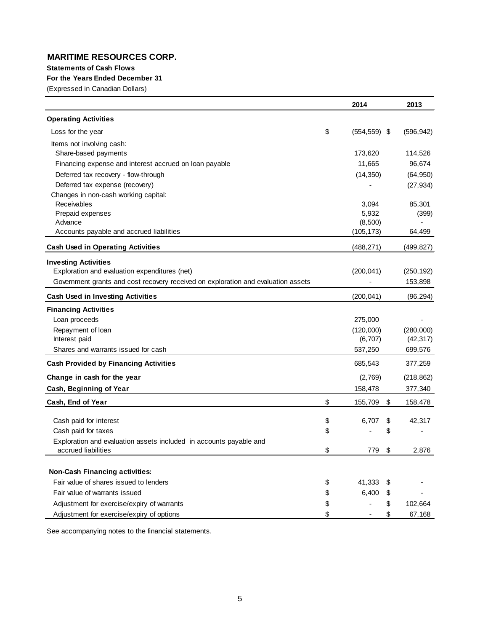#### **Statements of Cash Flows**

## **For the Years Ended December 31**

(Expressed in Canadian Dollars)

|                                                                                   | 2014                     | 2013          |
|-----------------------------------------------------------------------------------|--------------------------|---------------|
| <b>Operating Activities</b>                                                       |                          |               |
| Loss for the year                                                                 | \$<br>$(554, 559)$ \$    | (596, 942)    |
| Items not involving cash:                                                         |                          |               |
| Share-based payments                                                              | 173,620                  | 114,526       |
| Financing expense and interest accrued on loan payable                            | 11,665                   | 96,674        |
| Deferred tax recovery - flow-through                                              | (14, 350)                | (64, 950)     |
| Deferred tax expense (recovery)                                                   |                          | (27, 934)     |
| Changes in non-cash working capital:                                              |                          |               |
| Receivables                                                                       | 3,094                    | 85,301        |
| Prepaid expenses                                                                  | 5,932                    | (399)         |
| Advance                                                                           | (8,500)                  |               |
| Accounts payable and accrued liabilities                                          | (105, 173)               | 64,499        |
| <b>Cash Used in Operating Activities</b>                                          | (488, 271)               | (499,827)     |
| <b>Investing Activities</b>                                                       |                          |               |
| Exploration and evaluation expenditures (net)                                     | (200, 041)               | (250, 192)    |
| Government grants and cost recovery received on exploration and evaluation assets | $\overline{\phantom{a}}$ | 153,898       |
| <b>Cash Used in Investing Activities</b>                                          | (200, 041)               | (96, 294)     |
| <b>Financing Activities</b>                                                       |                          |               |
| Loan proceeds                                                                     | 275,000                  |               |
| Repayment of loan                                                                 | (120,000)                | (280,000)     |
| Interest paid                                                                     | (6,707)                  | (42, 317)     |
| Shares and warrants issued for cash                                               | 537,250                  | 699,576       |
| <b>Cash Provided by Financing Activities</b>                                      | 685,543                  | 377,259       |
| Change in cash for the year                                                       | (2,769)                  | (218, 862)    |
| Cash, Beginning of Year                                                           | 158,478                  | 377,340       |
| Cash, End of Year                                                                 | \$<br>155,709            | \$<br>158,478 |
| Cash paid for interest                                                            | \$<br>6,707              | \$<br>42,317  |
| Cash paid for taxes                                                               | \$                       | \$            |
| Exploration and evaluation assets included in accounts payable and                |                          |               |
| accrued liabilities                                                               | \$<br>779                | \$<br>2,876   |
|                                                                                   |                          |               |
| <b>Non-Cash Financing activities:</b>                                             |                          |               |
| Fair value of shares issued to lenders                                            | \$<br>41,333             | \$            |
| Fair value of warrants issued                                                     | \$<br>6,400              | \$            |
| Adjustment for exercise/expiry of warrants                                        | \$                       | \$<br>102,664 |
| Adjustment for exercise/expiry of options                                         | \$                       | \$<br>67,168  |

See accompanying notes to the financial statements.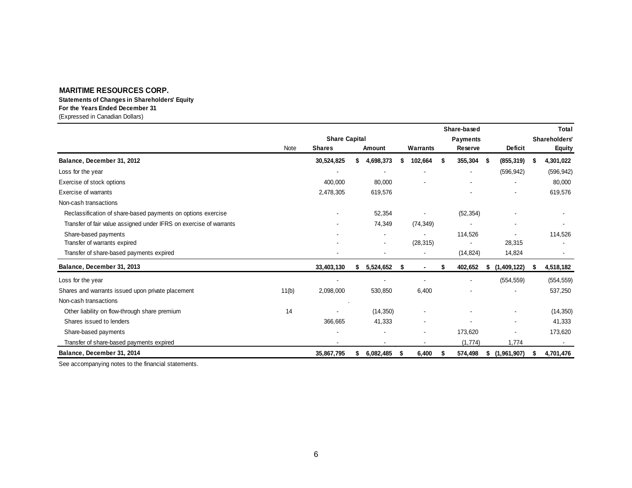# **For the Years Ended December 31 Statements of Changes in Shareholders' Equity**

(Expressed in Canadian Dollars)

|                                                                    |                      |               |  |           |                 |           |    | Share-based |               |                          |    | <b>Total</b>  |
|--------------------------------------------------------------------|----------------------|---------------|--|-----------|-----------------|-----------|----|-------------|---------------|--------------------------|----|---------------|
|                                                                    | <b>Share Capital</b> |               |  |           | <b>Payments</b> |           |    |             | Shareholders' |                          |    |               |
|                                                                    | Note                 | <b>Shares</b> |  | Amount    |                 | Warrants  |    | Reserve     |               | <b>Deficit</b>           |    | <b>Equity</b> |
| Balance, December 31, 2012                                         |                      | 30,524,825    |  | 4,698,373 |                 | 102,664   | S. | 355,304     | - \$          | (855, 319)               | -S | 4,301,022     |
| Loss for the year                                                  |                      |               |  |           |                 |           |    |             |               | (596, 942)               |    | (596, 942)    |
| Exercise of stock options                                          |                      | 400,000       |  | 80,000    |                 |           |    |             |               |                          |    | 80,000        |
| <b>Exercise of warrants</b>                                        |                      | 2,478,305     |  | 619,576   |                 |           |    |             |               | ۰                        |    | 619,576       |
| Non-cash transactions                                              |                      |               |  |           |                 |           |    |             |               |                          |    |               |
| Reclassification of share-based payments on options exercise       |                      |               |  | 52,354    |                 |           |    | (52, 354)   |               |                          |    |               |
| Transfer of fair value assigned under IFRS on exercise of warrants |                      |               |  | 74,349    |                 | (74, 349) |    |             |               |                          |    |               |
| Share-based payments                                               |                      |               |  |           |                 |           |    | 114,526     |               |                          |    | 114,526       |
| Transfer of warrants expired                                       |                      |               |  |           |                 | (28, 315) |    |             |               | 28,315                   |    |               |
| Transfer of share-based payments expired                           |                      |               |  |           |                 |           |    | (14, 824)   |               | 14,824                   |    |               |
| Balance, December 31, 2013                                         |                      | 33,403,130    |  | 5,524,652 | \$              |           | S  | 402,652     |               | \$(1,409,122)            |    | 4,518,182     |
| Loss for the year                                                  |                      |               |  |           |                 |           |    |             |               | (554, 559)               |    | (554, 559)    |
| Shares and warrants issued upon private placement                  | 11(b)                | 2,098,000     |  | 530,850   |                 | 6,400     |    |             |               |                          |    | 537,250       |
| Non-cash transactions                                              |                      |               |  |           |                 |           |    |             |               |                          |    |               |
| Other liability on flow-through share premium                      | 14                   |               |  | (14, 350) |                 |           |    |             |               | ۰                        |    | (14, 350)     |
| Shares issued to lenders                                           |                      | 366,665       |  | 41,333    |                 |           |    |             |               | $\overline{\phantom{a}}$ |    | 41,333        |
| Share-based payments                                               |                      |               |  |           |                 |           |    | 173,620     |               |                          |    | 173,620       |
| Transfer of share-based payments expired                           |                      |               |  | $\,$      |                 |           |    | (1, 774)    |               | 1,774                    |    | $\sim$        |
| Balance, December 31, 2014                                         |                      | 35,867,795    |  | 6,082,485 | S               | 6,400     |    | 574,498     |               | \$(1,961,907)            |    | 4,701,476     |

See accompanying notes to the financial statements.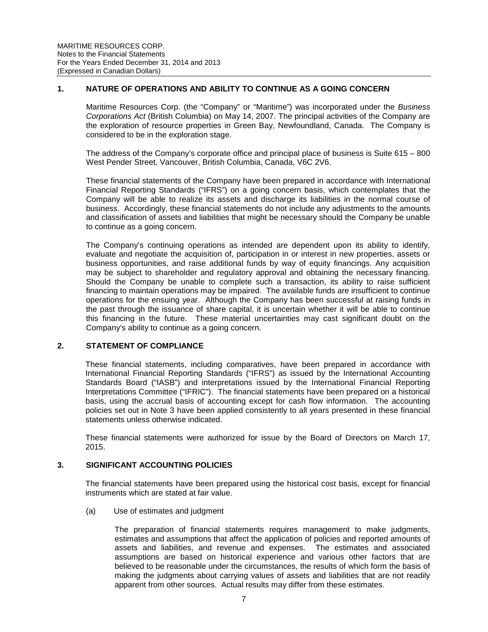# **1. NATURE OF OPERATIONS AND ABILITY TO CONTINUE AS A GOING CONCERN**

Maritime Resources Corp. (the "Company" or "Maritime") was incorporated under the *Business Corporations Act* (British Columbia) on May 14, 2007. The principal activities of the Company are the exploration of resource properties in Green Bay, Newfoundland, Canada. The Company is considered to be in the exploration stage.

The address of the Company's corporate office and principal place of business is Suite 615 – 800 West Pender Street, Vancouver, British Columbia, Canada, V6C 2V6.

These financial statements of the Company have been prepared in accordance with International Financial Reporting Standards ("IFRS") on a going concern basis, which contemplates that the Company will be able to realize its assets and discharge its liabilities in the normal course of business. Accordingly, these financial statements do not include any adjustments to the amounts and classification of assets and liabilities that might be necessary should the Company be unable to continue as a going concern.

The Company's continuing operations as intended are dependent upon its ability to identify, evaluate and negotiate the acquisition of, participation in or interest in new properties, assets or business opportunities, and raise additional funds by way of equity financings. Any acquisition may be subject to shareholder and regulatory approval and obtaining the necessary financing. Should the Company be unable to complete such a transaction, its ability to raise sufficient financing to maintain operations may be impaired. The available funds are insufficient to continue operations for the ensuing year. Although the Company has been successful at raising funds in the past through the issuance of share capital, it is uncertain whether it will be able to continue this financing in the future. These material uncertainties may cast significant doubt on the Company's ability to continue as a going concern.

## **2. STATEMENT OF COMPLIANCE**

These financial statements, including comparatives, have been prepared in accordance with International Financial Reporting Standards ("IFRS") as issued by the International Accounting Standards Board ("IASB") and interpretations issued by the International Financial Reporting Interpretations Committee ("IFRIC"). The financial statements have been prepared on a historical basis, using the accrual basis of accounting except for cash flow information. The accounting policies set out in Note 3 have been applied consistently to all years presented in these financial statements unless otherwise indicated.

These financial statements were authorized for issue by the Board of Directors on March 17, 2015.

# **3. SIGNIFICANT ACCOUNTING POLICIES**

The financial statements have been prepared using the historical cost basis, except for financial instruments which are stated at fair value.

(a) Use of estimates and judgment

The preparation of financial statements requires management to make judgments, estimates and assumptions that affect the application of policies and reported amounts of assets and liabilities, and revenue and expenses. The estimates and associated assumptions are based on historical experience and various other factors that are believed to be reasonable under the circumstances, the results of which form the basis of making the judgments about carrying values of assets and liabilities that are not readily apparent from other sources. Actual results may differ from these estimates.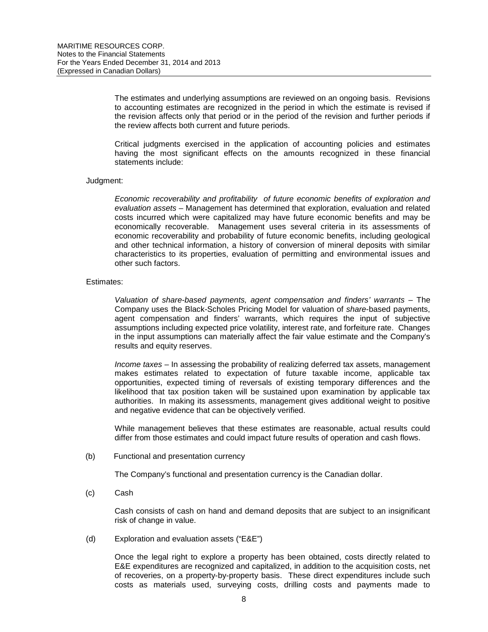The estimates and underlying assumptions are reviewed on an ongoing basis. Revisions to accounting estimates are recognized in the period in which the estimate is revised if the revision affects only that period or in the period of the revision and further periods if the review affects both current and future periods.

Critical judgments exercised in the application of accounting policies and estimates having the most significant effects on the amounts recognized in these financial statements include:

#### Judgment:

*Economic recoverability and profitability of future economic benefits of exploration and evaluation assets* – Management has determined that exploration, evaluation and related costs incurred which were capitalized may have future economic benefits and may be economically recoverable. Management uses several criteria in its assessments of economic recoverability and probability of future economic benefits, including geological and other technical information, a history of conversion of mineral deposits with similar characteristics to its properties, evaluation of permitting and environmental issues and other such factors.

#### Estimates:

*Valuation of share-based payments, agent compensation and finders' warrants* – The Company uses the Black-Scholes Pricing Model for valuation of *share*-based payments, agent compensation and finders' warrants, which requires the input of subjective assumptions including expected price volatility, interest rate, and forfeiture rate. Changes in the input assumptions can materially affect the fair value estimate and the Company's results and equity reserves.

*Income taxes* – In assessing the probability of realizing deferred tax assets, management makes estimates related to expectation of future taxable income, applicable tax opportunities, expected timing of reversals of existing temporary differences and the likelihood that tax position taken will be sustained upon examination by applicable tax authorities. In making its assessments, management gives additional weight to positive and negative evidence that can be objectively verified.

While management believes that these estimates are reasonable, actual results could differ from those estimates and could impact future results of operation and cash flows.

#### (b) Functional and presentation currency

The Company's functional and presentation currency is the Canadian dollar.

(c) Cash

Cash consists of cash on hand and demand deposits that are subject to an insignificant risk of change in value.

(d) Exploration and evaluation assets ("E&E")

Once the legal right to explore a property has been obtained, costs directly related to E&E expenditures are recognized and capitalized, in addition to the acquisition costs, net of recoveries, on a property-by-property basis. These direct expenditures include such costs as materials used, surveying costs, drilling costs and payments made to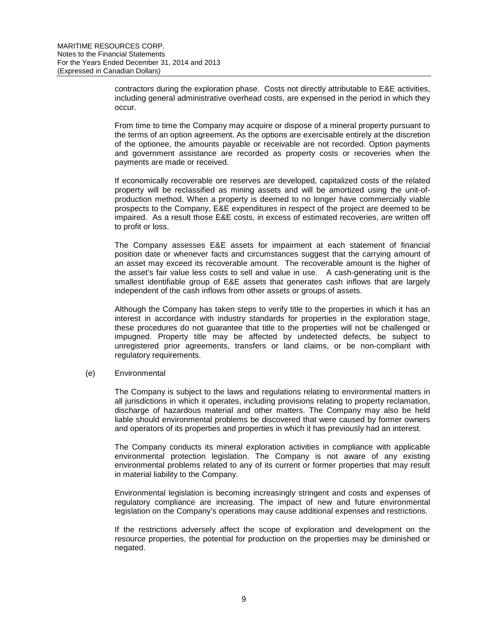contractors during the exploration phase. Costs not directly attributable to E&E activities, including general administrative overhead costs, are expensed in the period in which they occur.

From time to time the Company may acquire or dispose of a mineral property pursuant to the terms of an option agreement. As the options are exercisable entirely at the discretion of the optionee, the amounts payable or receivable are not recorded. Option payments and government assistance are recorded as property costs or recoveries when the payments are made or received.

If economically recoverable ore reserves are developed, capitalized costs of the related property will be reclassified as mining assets and will be amortized using the unit-ofproduction method. When a property is deemed to no longer have commercially viable prospects to the Company, E&E expenditures in respect of the project are deemed to be impaired. As a result those E&E costs, in excess of estimated recoveries, are written off to profit or loss.

The Company assesses E&E assets for impairment at each statement of financial position date or whenever facts and circumstances suggest that the carrying amount of an asset may exceed its recoverable amount. The recoverable amount is the higher of the asset's fair value less costs to sell and value in use. A cash-generating unit is the smallest identifiable group of E&E assets that generates cash inflows that are largely independent of the cash inflows from other assets or groups of assets.

Although the Company has taken steps to verify title to the properties in which it has an interest in accordance with industry standards for properties in the exploration stage, these procedures do not guarantee that title to the properties will not be challenged or impugned. Property title may be affected by undetected defects, be subject to unregistered prior agreements, transfers or land claims, or be non-compliant with regulatory requirements.

## (e) Environmental

The Company is subject to the laws and regulations relating to environmental matters in all jurisdictions in which it operates, including provisions relating to property reclamation, discharge of hazardous material and other matters. The Company may also be held liable should environmental problems be discovered that were caused by former owners and operators of its properties and properties in which it has previously had an interest.

The Company conducts its mineral exploration activities in compliance with applicable environmental protection legislation. The Company is not aware of any existing environmental problems related to any of its current or former properties that may result in material liability to the Company.

Environmental legislation is becoming increasingly stringent and costs and expenses of regulatory compliance are increasing. The impact of new and future environmental legislation on the Company's operations may cause additional expenses and restrictions.

If the restrictions adversely affect the scope of exploration and development on the resource properties, the potential for production on the properties may be diminished or negated.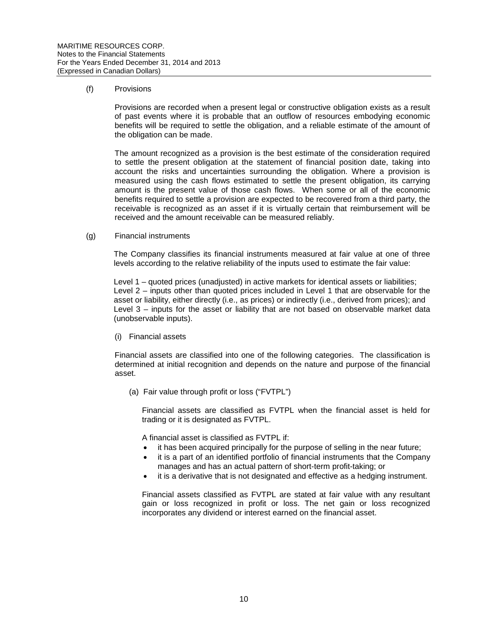#### (f) Provisions

Provisions are recorded when a present legal or constructive obligation exists as a result of past events where it is probable that an outflow of resources embodying economic benefits will be required to settle the obligation, and a reliable estimate of the amount of the obligation can be made.

The amount recognized as a provision is the best estimate of the consideration required to settle the present obligation at the statement of financial position date, taking into account the risks and uncertainties surrounding the obligation. Where a provision is measured using the cash flows estimated to settle the present obligation, its carrying amount is the present value of those cash flows. When some or all of the economic benefits required to settle a provision are expected to be recovered from a third party, the receivable is recognized as an asset if it is virtually certain that reimbursement will be received and the amount receivable can be measured reliably.

#### (g) Financial instruments

The Company classifies its financial instruments measured at fair value at one of three levels according to the relative reliability of the inputs used to estimate the fair value:

Level 1 – quoted prices (unadjusted) in active markets for identical assets or liabilities; Level 2 – inputs other than quoted prices included in Level 1 that are observable for the asset or liability, either directly (i.e., as prices) or indirectly (i.e., derived from prices); and Level 3 – inputs for the asset or liability that are not based on observable market data (unobservable inputs).

(i) Financial assets

Financial assets are classified into one of the following categories. The classification is determined at initial recognition and depends on the nature and purpose of the financial asset.

(a) Fair value through profit or loss ("FVTPL")

Financial assets are classified as FVTPL when the financial asset is held for trading or it is designated as FVTPL.

A financial asset is classified as FVTPL if:

- it has been acquired principally for the purpose of selling in the near future;
- it is a part of an identified portfolio of financial instruments that the Company manages and has an actual pattern of short-term profit-taking; or
- it is a derivative that is not designated and effective as a hedging instrument.

Financial assets classified as FVTPL are stated at fair value with any resultant gain or loss recognized in profit or loss. The net gain or loss recognized incorporates any dividend or interest earned on the financial asset.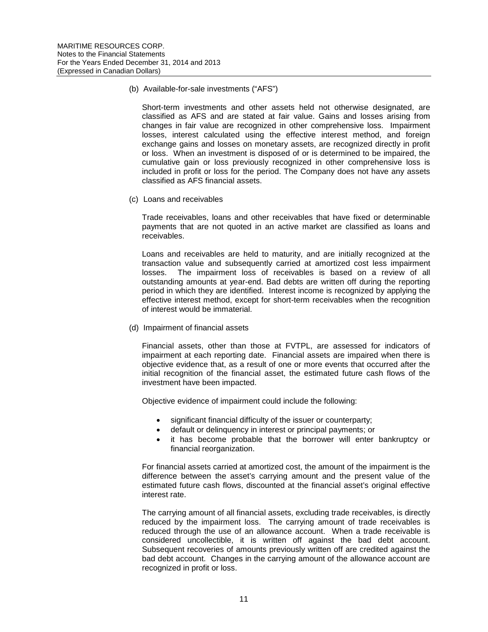(b) Available-for-sale investments ("AFS")

Short-term investments and other assets held not otherwise designated, are classified as AFS and are stated at fair value. Gains and losses arising from changes in fair value are recognized in other comprehensive loss. Impairment losses, interest calculated using the effective interest method, and foreign exchange gains and losses on monetary assets, are recognized directly in profit or loss. When an investment is disposed of or is determined to be impaired, the cumulative gain or loss previously recognized in other comprehensive loss is included in profit or loss for the period. The Company does not have any assets classified as AFS financial assets.

(c) Loans and receivables

Trade receivables, loans and other receivables that have fixed or determinable payments that are not quoted in an active market are classified as loans and receivables.

Loans and receivables are held to maturity, and are initially recognized at the transaction value and subsequently carried at amortized cost less impairment losses. The impairment loss of receivables is based on a review of all outstanding amounts at year-end. Bad debts are written off during the reporting period in which they are identified. Interest income is recognized by applying the effective interest method, except for short-term receivables when the recognition of interest would be immaterial.

(d) Impairment of financial assets

Financial assets, other than those at FVTPL, are assessed for indicators of impairment at each reporting date. Financial assets are impaired when there is objective evidence that, as a result of one or more events that occurred after the initial recognition of the financial asset, the estimated future cash flows of the investment have been impacted.

Objective evidence of impairment could include the following:

- significant financial difficulty of the issuer or counterparty;
- default or delinquency in interest or principal payments; or
- it has become probable that the borrower will enter bankruptcy or financial reorganization.

For financial assets carried at amortized cost, the amount of the impairment is the difference between the asset's carrying amount and the present value of the estimated future cash flows, discounted at the financial asset's original effective interest rate.

The carrying amount of all financial assets, excluding trade receivables, is directly reduced by the impairment loss. The carrying amount of trade receivables is reduced through the use of an allowance account. When a trade receivable is considered uncollectible, it is written off against the bad debt account. Subsequent recoveries of amounts previously written off are credited against the bad debt account. Changes in the carrying amount of the allowance account are recognized in profit or loss.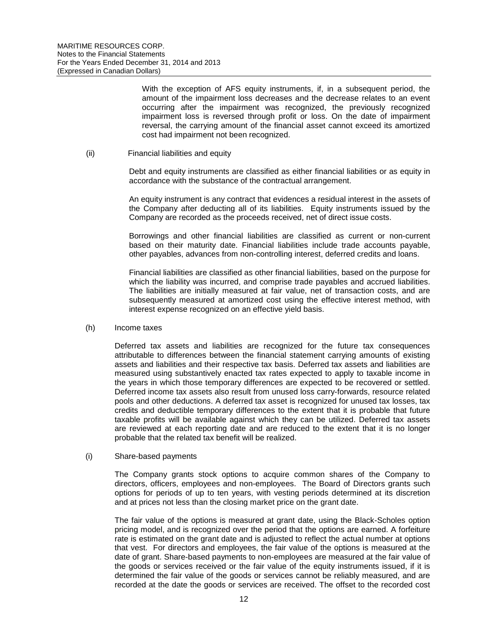With the exception of AFS equity instruments, if, in a subsequent period, the amount of the impairment loss decreases and the decrease relates to an event occurring after the impairment was recognized, the previously recognized impairment loss is reversed through profit or loss. On the date of impairment reversal, the carrying amount of the financial asset cannot exceed its amortized cost had impairment not been recognized.

#### (ii) Financial liabilities and equity

Debt and equity instruments are classified as either financial liabilities or as equity in accordance with the substance of the contractual arrangement.

An equity instrument is any contract that evidences a residual interest in the assets of the Company after deducting all of its liabilities. Equity instruments issued by the Company are recorded as the proceeds received, net of direct issue costs.

Borrowings and other financial liabilities are classified as current or non-current based on their maturity date. Financial liabilities include trade accounts payable, other payables, advances from non-controlling interest, deferred credits and loans.

Financial liabilities are classified as other financial liabilities, based on the purpose for which the liability was incurred, and comprise trade payables and accrued liabilities. The liabilities are initially measured at fair value, net of transaction costs, and are subsequently measured at amortized cost using the effective interest method, with interest expense recognized on an effective yield basis.

#### (h) Income taxes

Deferred tax assets and liabilities are recognized for the future tax consequences attributable to differences between the financial statement carrying amounts of existing assets and liabilities and their respective tax basis. Deferred tax assets and liabilities are measured using substantively enacted tax rates expected to apply to taxable income in the years in which those temporary differences are expected to be recovered or settled. Deferred income tax assets also result from unused loss carry-forwards, resource related pools and other deductions. A deferred tax asset is recognized for unused tax losses, tax credits and deductible temporary differences to the extent that it is probable that future taxable profits will be available against which they can be utilized. Deferred tax assets are reviewed at each reporting date and are reduced to the extent that it is no longer probable that the related tax benefit will be realized.

## (i) Share-based payments

The Company grants stock options to acquire common shares of the Company to directors, officers, employees and non-employees. The Board of Directors grants such options for periods of up to ten years, with vesting periods determined at its discretion and at prices not less than the closing market price on the grant date.

The fair value of the options is measured at grant date, using the Black-Scholes option pricing model, and is recognized over the period that the options are earned. A forfeiture rate is estimated on the grant date and is adjusted to reflect the actual number at options that vest. For directors and employees, the fair value of the options is measured at the date of grant. Share-based payments to non-employees are measured at the fair value of the goods or services received or the fair value of the equity instruments issued, if it is determined the fair value of the goods or services cannot be reliably measured, and are recorded at the date the goods or services are received. The offset to the recorded cost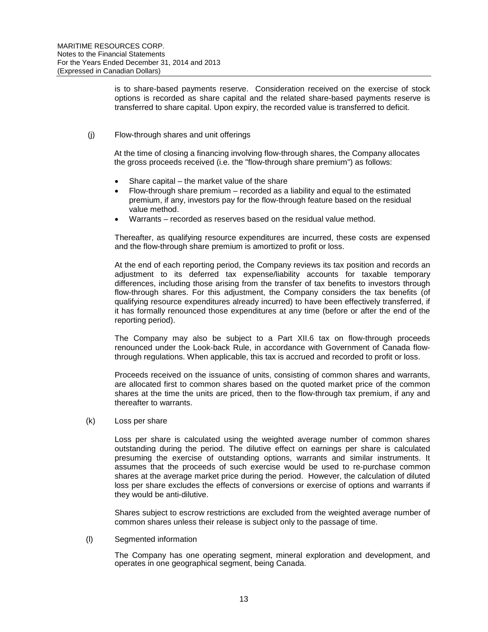is to share-based payments reserve. Consideration received on the exercise of stock options is recorded as share capital and the related share-based payments reserve is transferred to share capital. Upon expiry, the recorded value is transferred to deficit.

## (j) Flow-through shares and unit offerings

At the time of closing a financing involving flow-through shares, the Company allocates the gross proceeds received (i.e. the "flow-through share premium") as follows:

- Share capital  $-$  the market value of the share
- Flow-through share premium recorded as a liability and equal to the estimated premium, if any, investors pay for the flow-through feature based on the residual value method.
- Warrants recorded as reserves based on the residual value method.

Thereafter, as qualifying resource expenditures are incurred, these costs are expensed and the flow-through share premium is amortized to profit or loss.

At the end of each reporting period, the Company reviews its tax position and records an adjustment to its deferred tax expense/liability accounts for taxable temporary differences, including those arising from the transfer of tax benefits to investors through flow-through shares. For this adjustment, the Company considers the tax benefits (of qualifying resource expenditures already incurred) to have been effectively transferred, if it has formally renounced those expenditures at any time (before or after the end of the reporting period).

The Company may also be subject to a Part XII.6 tax on flow-through proceeds renounced under the Look-back Rule, in accordance with Government of Canada flowthrough regulations. When applicable, this tax is accrued and recorded to profit or loss.

Proceeds received on the issuance of units, consisting of common shares and warrants, are allocated first to common shares based on the quoted market price of the common shares at the time the units are priced, then to the flow-through tax premium, if any and thereafter to warrants.

#### (k) Loss per share

Loss per share is calculated using the weighted average number of common shares outstanding during the period. The dilutive effect on earnings per share is calculated presuming the exercise of outstanding options, warrants and similar instruments. It assumes that the proceeds of such exercise would be used to re-purchase common shares at the average market price during the period. However, the calculation of diluted loss per share excludes the effects of conversions or exercise of options and warrants if they would be anti-dilutive.

Shares subject to escrow restrictions are excluded from the weighted average number of common shares unless their release is subject only to the passage of time.

#### (l) Segmented information

The Company has one operating segment, mineral exploration and development, and operates in one geographical segment, being Canada.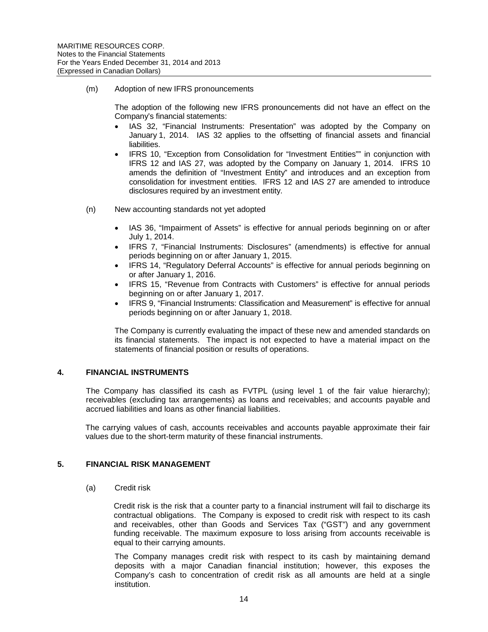#### (m) Adoption of new IFRS pronouncements

The adoption of the following new IFRS pronouncements did not have an effect on the Company's financial statements:

- IAS 32, "Financial Instruments: Presentation" was adopted by the Company on January 1, 2014. IAS 32 applies to the offsetting of financial assets and financial liabilities.
- IFRS 10, "Exception from Consolidation for "Investment Entities"" in conjunction with IFRS 12 and IAS 27, was adopted by the Company on January 1, 2014. IFRS 10 amends the definition of "Investment Entity" and introduces and an exception from consolidation for investment entities. IFRS 12 and IAS 27 are amended to introduce disclosures required by an investment entity.
- (n) New accounting standards not yet adopted
	- IAS 36, "Impairment of Assets" is effective for annual periods beginning on or after July 1, 2014.
	- IFRS 7, "Financial Instruments: Disclosures" (amendments) is effective for annual periods beginning on or after January 1, 2015.
	- IFRS 14, "Regulatory Deferral Accounts" is effective for annual periods beginning on or after January 1, 2016.
	- IFRS 15. "Revenue from Contracts with Customers" is effective for annual periods beginning on or after January 1, 2017.
	- IFRS 9, "Financial Instruments: Classification and Measurement" is effective for annual periods beginning on or after January 1, 2018.

The Company is currently evaluating the impact of these new and amended standards on its financial statements. The impact is not expected to have a material impact on the statements of financial position or results of operations.

## **4. FINANCIAL INSTRUMENTS**

The Company has classified its cash as FVTPL (using level 1 of the fair value hierarchy); receivables (excluding tax arrangements) as loans and receivables; and accounts payable and accrued liabilities and loans as other financial liabilities.

The carrying values of cash, accounts receivables and accounts payable approximate their fair values due to the short-term maturity of these financial instruments.

## **5. FINANCIAL RISK MANAGEMENT**

(a) Credit risk

Credit risk is the risk that a counter party to a financial instrument will fail to discharge its contractual obligations. The Company is exposed to credit risk with respect to its cash and receivables, other than Goods and Services Tax ("GST") and any government funding receivable. The maximum exposure to loss arising from accounts receivable is equal to their carrying amounts.

The Company manages credit risk with respect to its cash by maintaining demand deposits with a major Canadian financial institution; however, this exposes the Company's cash to concentration of credit risk as all amounts are held at a single institution.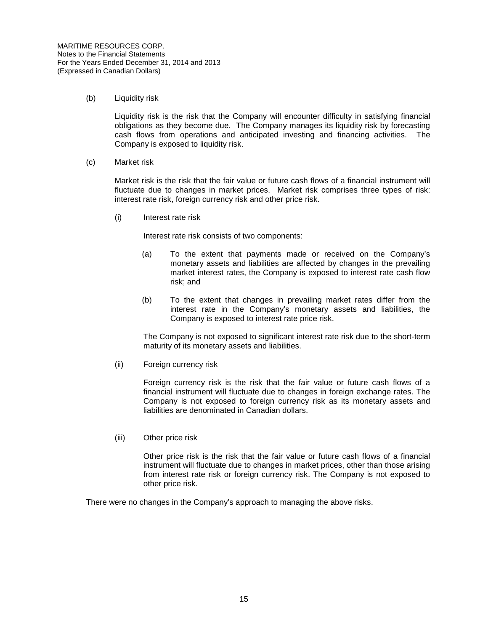### (b) Liquidity risk

Liquidity risk is the risk that the Company will encounter difficulty in satisfying financial obligations as they become due. The Company manages its liquidity risk by forecasting cash flows from operations and anticipated investing and financing activities. The Company is exposed to liquidity risk.

#### (c) Market risk

Market risk is the risk that the fair value or future cash flows of a financial instrument will fluctuate due to changes in market prices. Market risk comprises three types of risk: interest rate risk, foreign currency risk and other price risk.

(i) Interest rate risk

Interest rate risk consists of two components:

- (a) To the extent that payments made or received on the Company's monetary assets and liabilities are affected by changes in the prevailing market interest rates, the Company is exposed to interest rate cash flow risk; and
- (b) To the extent that changes in prevailing market rates differ from the interest rate in the Company's monetary assets and liabilities, the Company is exposed to interest rate price risk.

The Company is not exposed to significant interest rate risk due to the short-term maturity of its monetary assets and liabilities.

(ii) Foreign currency risk

Foreign currency risk is the risk that the fair value or future cash flows of a financial instrument will fluctuate due to changes in foreign exchange rates. The Company is not exposed to foreign currency risk as its monetary assets and liabilities are denominated in Canadian dollars.

(iii) Other price risk

Other price risk is the risk that the fair value or future cash flows of a financial instrument will fluctuate due to changes in market prices, other than those arising from interest rate risk or foreign currency risk. The Company is not exposed to other price risk.

There were no changes in the Company's approach to managing the above risks.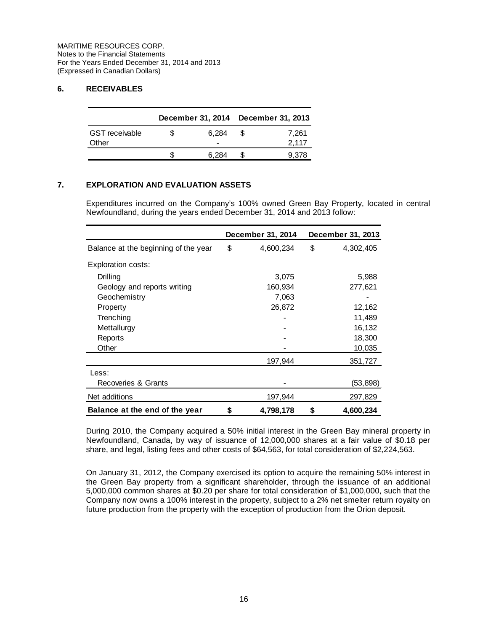# **6. RECEIVABLES**

|                       |   |       |    | December 31, 2014 December 31, 2013 |
|-----------------------|---|-------|----|-------------------------------------|
| <b>GST</b> receivable | S | 6.284 | -8 | 7,261                               |
| Other                 |   | -     |    | 2,117                               |
|                       |   | 6.284 |    | 9,378                               |

# **7. EXPLORATION AND EVALUATION ASSETS**

Expenditures incurred on the Company's 100% owned Green Bay Property, located in central Newfoundland, during the years ended December 31, 2014 and 2013 follow:

|                                      | December 31, 2014 | December 31, 2013 |
|--------------------------------------|-------------------|-------------------|
| Balance at the beginning of the year | \$<br>4,600,234   | \$<br>4,302,405   |
| <b>Exploration costs:</b>            |                   |                   |
| Drilling                             | 3,075             | 5,988             |
| Geology and reports writing          | 160,934           | 277,621           |
| Geochemistry                         | 7,063             |                   |
| Property                             | 26,872            | 12,162            |
| Trenching                            |                   | 11,489            |
| Mettallurgy                          |                   | 16,132            |
| Reports                              |                   | 18,300            |
| Other                                |                   | 10,035            |
|                                      | 197,944           | 351,727           |
| Less:                                |                   |                   |
| Recoveries & Grants                  |                   | (53,898)          |
| Net additions                        | 197,944           | 297,829           |
| Balance at the end of the year       | \$<br>4,798,178   | \$<br>4,600,234   |

During 2010, the Company acquired a 50% initial interest in the Green Bay mineral property in Newfoundland, Canada, by way of issuance of 12,000,000 shares at a fair value of \$0.18 per share, and legal, listing fees and other costs of \$64,563, for total consideration of \$2,224,563.

On January 31, 2012, the Company exercised its option to acquire the remaining 50% interest in the Green Bay property from a significant shareholder, through the issuance of an additional 5,000,000 common shares at \$0.20 per share for total consideration of \$1,000,000, such that the Company now owns a 100% interest in the property, subject to a 2% net smelter return royalty on future production from the property with the exception of production from the Orion deposit.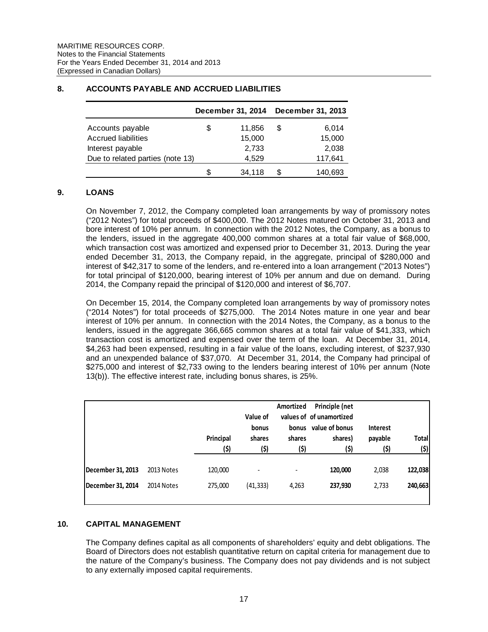|                                  |    | December 31, 2014 |   | December 31, 2013 |
|----------------------------------|----|-------------------|---|-------------------|
| Accounts payable                 | \$ | 11.856            | S | 6,014             |
| <b>Accrued liabilities</b>       |    | 15,000            |   | 15,000            |
| Interest payable                 |    | 2,733             |   | 2,038             |
| Due to related parties (note 13) |    | 4.529             |   | 117,641           |
|                                  | S. | 34,118            | S | 140.693           |

# **8. ACCOUNTS PAYABLE AND ACCRUED LIABILITIES**

## **9. LOANS**

On November 7, 2012, the Company completed loan arrangements by way of promissory notes ("2012 Notes") for total proceeds of \$400,000. The 2012 Notes matured on October 31, 2013 and bore interest of 10% per annum. In connection with the 2012 Notes, the Company, as a bonus to the lenders, issued in the aggregate 400,000 common shares at a total fair value of \$68,000, which transaction cost was amortized and expensed prior to December 31, 2013. During the year ended December 31, 2013, the Company repaid, in the aggregate, principal of \$280,000 and interest of \$42,317 to some of the lenders, and re-entered into a loan arrangement ("2013 Notes") for total principal of \$120,000, bearing interest of 10% per annum and due on demand. During 2014, the Company repaid the principal of \$120,000 and interest of \$6,707.

On December 15, 2014, the Company completed loan arrangements by way of promissory notes ("2014 Notes") for total proceeds of \$275,000. The 2014 Notes mature in one year and bear interest of 10% per annum. In connection with the 2014 Notes, the Company, as a bonus to the lenders, issued in the aggregate 366,665 common shares at a total fair value of \$41,333, which transaction cost is amortized and expensed over the term of the loan. At December 31, 2014, \$4,263 had been expensed, resulting in a fair value of the loans, excluding interest, of \$237,930 and an unexpended balance of \$37,070. At December 31, 2014, the Company had principal of \$275,000 and interest of \$2,733 owing to the lenders bearing interest of 10% per annum (Note 13(b)). The effective interest rate, including bonus shares, is 25%.

|                   |            | Principal<br>(\$) | Value of<br>bonus<br>shares<br>(\$) | Amortized<br>bonus<br>shares<br>(\$) | Principle (net<br>values of of unamortized<br>value of bonus<br>shares)<br>(\$) | <b>Interest</b><br>payable<br>(\$) | <b>Total</b><br>(\$) |
|-------------------|------------|-------------------|-------------------------------------|--------------------------------------|---------------------------------------------------------------------------------|------------------------------------|----------------------|
| December 31, 2013 | 2013 Notes | 120,000           |                                     |                                      | 120,000                                                                         | 2,038                              | 122,038              |
| December 31, 2014 | 2014 Notes | 275,000           | (41, 333)                           | 4,263                                | 237,930                                                                         | 2,733                              | 240,663              |

# **10. CAPITAL MANAGEMENT**

The Company defines capital as all components of shareholders' equity and debt obligations. The Board of Directors does not establish quantitative return on capital criteria for management due to the nature of the Company's business. The Company does not pay dividends and is not subject to any externally imposed capital requirements.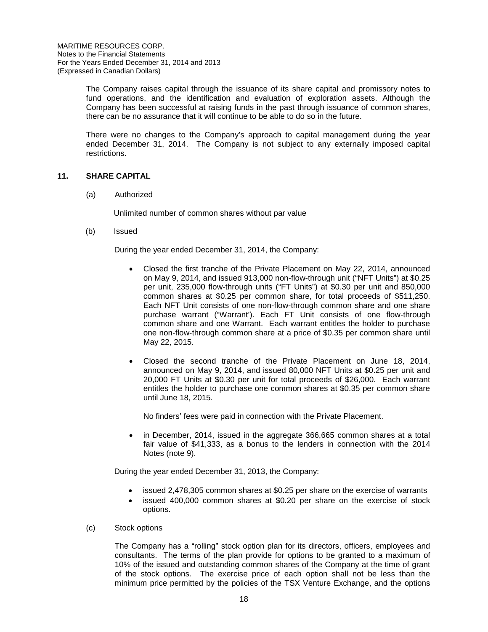The Company raises capital through the issuance of its share capital and promissory notes to fund operations, and the identification and evaluation of exploration assets. Although the Company has been successful at raising funds in the past through issuance of common shares, there can be no assurance that it will continue to be able to do so in the future.

There were no changes to the Company's approach to capital management during the year ended December 31, 2014. The Company is not subject to any externally imposed capital restrictions.

# **11. SHARE CAPITAL**

(a) Authorized

Unlimited number of common shares without par value

(b) Issued

During the year ended December 31, 2014, the Company:

- Closed the first tranche of the Private Placement on May 22, 2014, announced on May 9, 2014, and issued 913,000 non-flow-through unit ("NFT Units") at \$0.25 per unit, 235,000 flow-through units ("FT Units") at \$0.30 per unit and 850,000 common shares at \$0.25 per common share, for total proceeds of \$511,250. Each NFT Unit consists of one non-flow-through common share and one share purchase warrant ("Warrant'). Each FT Unit consists of one flow-through common share and one Warrant. Each warrant entitles the holder to purchase one non-flow-through common share at a price of \$0.35 per common share until May 22, 2015.
- Closed the second tranche of the Private Placement on June 18, 2014, announced on May 9, 2014, and issued 80,000 NFT Units at \$0.25 per unit and 20,000 FT Units at \$0.30 per unit for total proceeds of \$26,000. Each warrant entitles the holder to purchase one common shares at \$0.35 per common share until June 18, 2015.

No finders' fees were paid in connection with the Private Placement.

• in December, 2014, issued in the aggregate 366,665 common shares at a total fair value of \$41,333, as a bonus to the lenders in connection with the 2014 Notes (note 9).

During the year ended December 31, 2013, the Company:

- issued 2,478,305 common shares at \$0.25 per share on the exercise of warrants
- issued 400,000 common shares at \$0.20 per share on the exercise of stock options.

## (c) Stock options

The Company has a "rolling" stock option plan for its directors, officers, employees and consultants. The terms of the plan provide for options to be granted to a maximum of 10% of the issued and outstanding common shares of the Company at the time of grant of the stock options. The exercise price of each option shall not be less than the minimum price permitted by the policies of the TSX Venture Exchange, and the options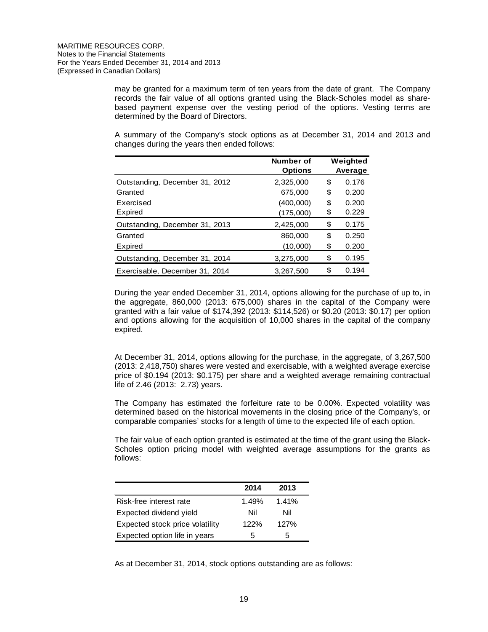may be granted for a maximum term of ten years from the date of grant. The Company records the fair value of all options granted using the Black-Scholes model as sharebased payment expense over the vesting period of the options. Vesting terms are determined by the Board of Directors.

A summary of the Company's stock options as at December 31, 2014 and 2013 and changes during the years then ended follows:

|                                | Number of<br><b>Options</b> | Weighted<br>Average |
|--------------------------------|-----------------------------|---------------------|
| Outstanding, December 31, 2012 | 2,325,000                   | \$<br>0.176         |
| Granted                        | 675,000                     | \$<br>0.200         |
| Exercised                      | (400,000)                   | \$<br>0.200         |
| Expired                        | (175,000)                   | \$<br>0.229         |
| Outstanding, December 31, 2013 | 2,425,000                   | \$<br>0.175         |
| Granted                        | 860,000                     | \$<br>0.250         |
| Expired                        | (10,000)                    | \$<br>0.200         |
| Outstanding, December 31, 2014 | 3,275,000                   | \$<br>0.195         |
| Exercisable, December 31, 2014 | 3.267.500                   | \$<br>0.194         |

During the year ended December 31, 2014, options allowing for the purchase of up to, in the aggregate, 860,000 (2013: 675,000) shares in the capital of the Company were granted with a fair value of \$174,392 (2013: \$114,526) or \$0.20 (2013: \$0.17) per option and options allowing for the acquisition of 10,000 shares in the capital of the company expired.

At December 31, 2014, options allowing for the purchase, in the aggregate, of 3,267,500 (2013: 2,418,750) shares were vested and exercisable, with a weighted average exercise price of \$0.194 (2013: \$0.175) per share and a weighted average remaining contractual life of 2.46 (2013: 2.73) years.

The Company has estimated the forfeiture rate to be 0.00%. Expected volatility was determined based on the historical movements in the closing price of the Company's, or comparable companies' stocks for a length of time to the expected life of each option.

The fair value of each option granted is estimated at the time of the grant using the Black-Scholes option pricing model with weighted average assumptions for the grants as follows:

|                                 | 2014  | 2013  |
|---------------------------------|-------|-------|
| Risk-free interest rate         | 1.49% | 1.41% |
| Expected dividend yield         | Nil   | Nil   |
| Expected stock price volatility | 122%  | 127%  |
| Expected option life in years   | 5     | 5     |

As at December 31, 2014, stock options outstanding are as follows: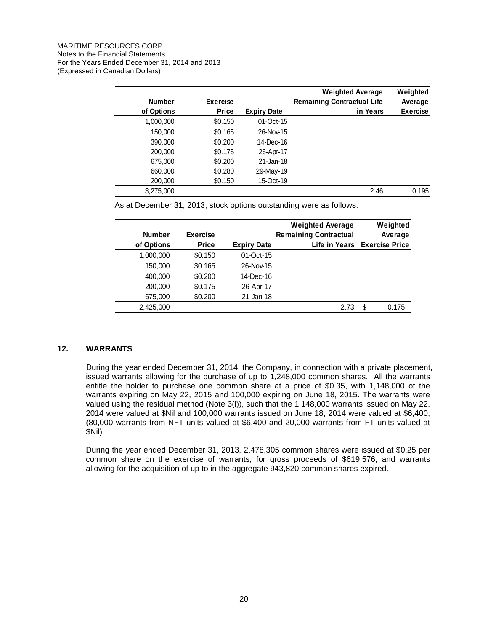| <b>Number</b> | <b>Exercise</b> |                    | <b>Weighted Average</b><br><b>Remaining Contractual Life</b> | Weighted<br>Average |
|---------------|-----------------|--------------------|--------------------------------------------------------------|---------------------|
| of Options    | <b>Price</b>    | <b>Expiry Date</b> | in Years                                                     | <b>Exercise</b>     |
| 1,000,000     | \$0.150         | 01-Oct-15          |                                                              |                     |
| 150,000       | \$0.165         | 26-Nov-15          |                                                              |                     |
| 390,000       | \$0.200         | 14-Dec-16          |                                                              |                     |
| 200,000       | \$0.175         | 26-Apr-17          |                                                              |                     |
| 675,000       | \$0.200         | 21-Jan-18          |                                                              |                     |
| 660,000       | \$0.280         | 29-May-19          |                                                              |                     |
| 200,000       | \$0.150         | 15-Oct-19          |                                                              |                     |
| 3,275,000     |                 |                    | 2.46                                                         | 0.195               |

As at December 31, 2013, stock options outstanding were as follows:

|               |                 |                    | <b>Weighted Average</b>      | Weighted                     |
|---------------|-----------------|--------------------|------------------------------|------------------------------|
| <b>Number</b> | <b>Exercise</b> |                    | <b>Remaining Contractual</b> | Average                      |
| of Options    | <b>Price</b>    | <b>Expiry Date</b> |                              | Life in Years Exercise Price |
| 1,000,000     | \$0.150         | $01$ -Oct-15       |                              |                              |
| 150,000       | \$0.165         | 26-Nov-15          |                              |                              |
| 400,000       | \$0.200         | 14-Dec-16          |                              |                              |
| 200,000       | \$0.175         | 26-Apr-17          |                              |                              |
| 675,000       | \$0.200         | 21-Jan-18          |                              |                              |
| 2,425,000     |                 |                    | 2.73                         | \$<br>0.175                  |

# **12. WARRANTS**

During the year ended December 31, 2014, the Company, in connection with a private placement, issued warrants allowing for the purchase of up to 1,248,000 common shares. All the warrants entitle the holder to purchase one common share at a price of \$0.35, with 1,148,000 of the warrants expiring on May 22, 2015 and 100,000 expiring on June 18, 2015. The warrants were valued using the residual method (Note 3(i)), such that the 1,148,000 warrants issued on May 22, 2014 were valued at \$Nil and 100,000 warrants issued on June 18, 2014 were valued at \$6,400, (80,000 warrants from NFT units valued at \$6,400 and 20,000 warrants from FT units valued at \$Nil).

During the year ended December 31, 2013, 2,478,305 common shares were issued at \$0.25 per common share on the exercise of warrants, for gross proceeds of \$619,576, and warrants allowing for the acquisition of up to in the aggregate 943,820 common shares expired.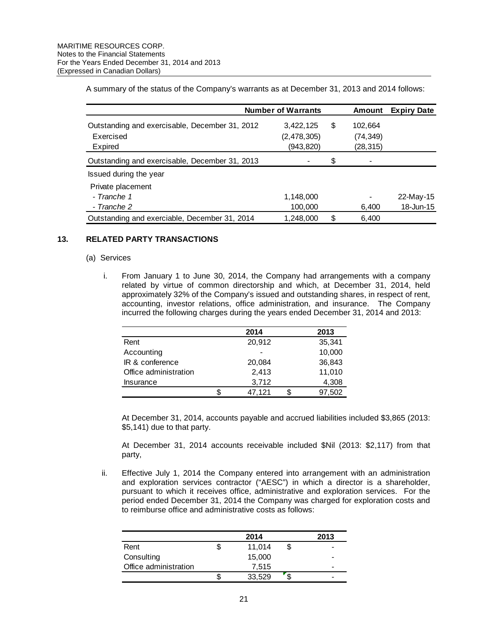A summary of the status of the Company's warrants as at December 31, 2013 and 2014 follows:

|                                                | <b>Number of Warrants</b> | Amount        | <b>Expiry Date</b> |
|------------------------------------------------|---------------------------|---------------|--------------------|
| Outstanding and exercisable, December 31, 2012 | 3,422,125                 | \$<br>102,664 |                    |
| Exercised                                      | (2, 478, 305)             | (74, 349)     |                    |
| Expired                                        | (943,820)                 | (28, 315)     |                    |
| Outstanding and exercisable, December 31, 2013 |                           | \$            |                    |
| Issued during the year                         |                           |               |                    |
| Private placement                              |                           |               |                    |
| - Tranche 1                                    | 1,148,000                 |               | 22-May-15          |
| - Tranche 2                                    | 100,000                   | 6,400         | 18-Jun-15          |
| Outstanding and exerciable, December 31, 2014  | 1,248,000                 | \$<br>6,400   |                    |

#### **13. RELATED PARTY TRANSACTIONS**

#### (a) Services

i. From January 1 to June 30, 2014, the Company had arrangements with a company related by virtue of common directorship and which, at December 31, 2014, held approximately 32% of the Company's issued and outstanding shares, in respect of rent, accounting, investor relations, office administration, and insurance. The Company incurred the following charges during the years ended December 31, 2014 and 2013:

|                       | 2014   | 2013   |
|-----------------------|--------|--------|
| Rent                  | 20,912 | 35,341 |
| Accounting            |        | 10,000 |
| IR & conference       | 20,084 | 36,843 |
| Office administration | 2,413  | 11,010 |
| Insurance             | 3,712  | 4,308  |
|                       | 47,121 | 97,502 |

At December 31, 2014, accounts payable and accrued liabilities included \$3,865 (2013: \$5,141) due to that party.

At December 31, 2014 accounts receivable included \$Nil (2013: \$2,117) from that party,

ii. Effective July 1, 2014 the Company entered into arrangement with an administration and exploration services contractor ("AESC") in which a director is a shareholder, pursuant to which it receives office, administrative and exploration services. For the period ended December 31, 2014 the Company was charged for exploration costs and to reimburse office and administrative costs as follows:

|                       |   | 2014   |   | 2013                     |
|-----------------------|---|--------|---|--------------------------|
| Rent                  | Φ | 11,014 | S | $\overline{\phantom{0}}$ |
| Consulting            |   | 15,000 |   | -                        |
| Office administration |   | 7.515  |   | $\overline{\phantom{0}}$ |
|                       | Ъ | 33,529 |   | -                        |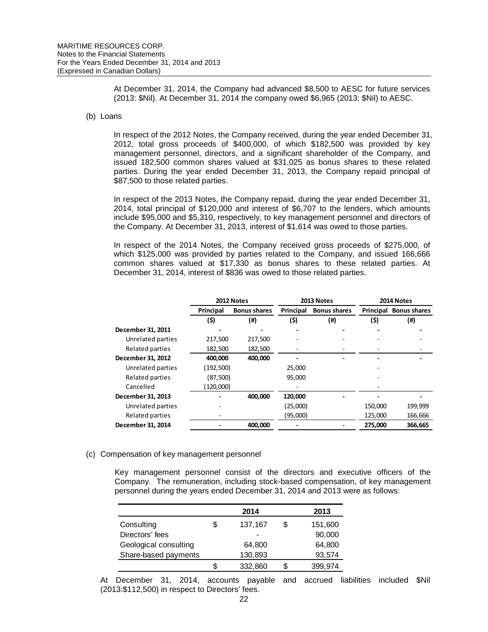At December 31, 2014, the Company had advanced \$8,500 to AESC for future services (2013: \$Nil). At December 31, 2014 the company owed \$6,965 (2013: \$Nil) to AESC.

#### (b) Loans

In respect of the 2012 Notes, the Company received, during the year ended December 31, 2012, total gross proceeds of \$400,000, of which \$182,500 was provided by key management personnel, directors, and a significant shareholder of the Company, and issued 182,500 common shares valued at \$31,025 as bonus shares to these related parties. During the year ended December 31, 2013, the Company repaid principal of \$87,500 to those related parties.

In respect of the 2013 Notes, the Company repaid, during the year ended December 31, 2014, total principal of \$120,000 and interest of \$6,707 to the lenders, which amounts include \$95,000 and \$5,310, respectively, to key management personnel and directors of the Company. At December 31, 2013, interest of \$1,614 was owed to those parties.

In respect of the 2014 Notes, the Company received gross proceeds of \$275,000, of which \$125,000 was provided by parties related to the Company, and issued 166,666 common shares valued at \$17,330 as bonus shares to these related parties. At December 31, 2014, interest of \$836 was owed to those related parties.

|                   |           | 2012 Notes          | 2013 Notes |                     |         | 2014 Notes                    |  |
|-------------------|-----------|---------------------|------------|---------------------|---------|-------------------------------|--|
|                   | Principal | <b>Bonus shares</b> | Principal  | <b>Bonus shares</b> |         | <b>Principal Bonus shares</b> |  |
|                   | (\$)      | (#)                 | (\$)       | (#)                 | (\$)    | (#)                           |  |
| December 31, 2011 |           |                     |            |                     |         |                               |  |
| Unrelated parties | 217,500   | 217,500             |            |                     |         |                               |  |
| Related parties   | 182,500   | 182,500             |            |                     |         |                               |  |
| December 31, 2012 | 400,000   | 400,000             |            |                     |         |                               |  |
| Unrelated parties | (192,500) |                     | 25,000     |                     |         |                               |  |
| Related parties   | (87,500)  |                     | 95,000     |                     |         |                               |  |
| Cancelled         | (120,000) |                     |            |                     |         |                               |  |
| December 31, 2013 |           | 400,000             | 120,000    |                     |         |                               |  |
| Unrelated parties |           |                     | (25,000)   |                     | 150,000 | 199,999                       |  |
| Related parties   |           |                     | (95,000)   |                     | 125,000 | 166,666                       |  |
| December 31, 2014 |           | 400,000             |            |                     | 275,000 | 366,665                       |  |

## (c) Compensation of key management personnel

Key management personnel consist of the directors and executive officers of the Company. The remuneration, including stock-based compensation, of key management personnel during the years ended December 31, 2014 and 2013 were as follows:

|                       | 2014          |   | 2013    |
|-----------------------|---------------|---|---------|
| Consulting            | \$<br>137,167 | S | 151,600 |
| Directors' fees       |               |   | 90,000  |
| Geological consulting | 64,800        |   | 64,800  |
| Share-based payments  | 130,893       |   | 93,574  |
|                       | \$<br>332,860 |   | 399,974 |

At December 31, 2014, accounts payable and accrued liabilities included \$Nil (2013:\$112,500) in respect to Directors' fees.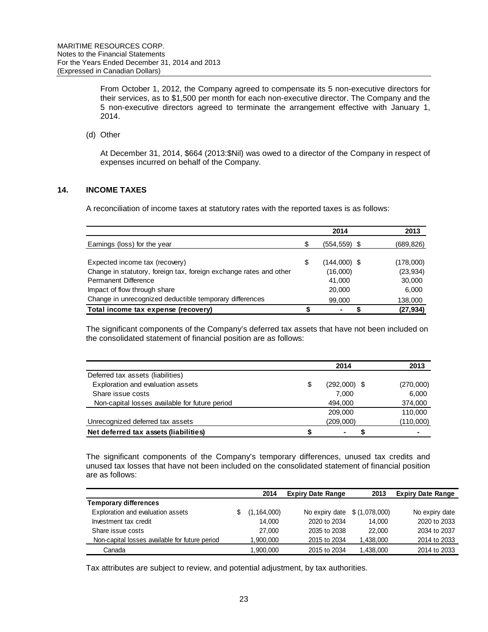From October 1, 2012, the Company agreed to compensate its 5 non-executive directors for their services, as to \$1,500 per month for each non-executive director. The Company and the 5 non-executive directors agreed to terminate the arrangement effective with January 1, 2014.

(d) Other

At December 31, 2014, \$664 (2013:\$Nil) was owed to a director of the Company in respect of expenses incurred on behalf of the Company.

# **14. INCOME TAXES**

A reconciliation of income taxes at statutory rates with the reported taxes is as follows:

|                                                                    |    | 2014            | 2013       |
|--------------------------------------------------------------------|----|-----------------|------------|
| Earnings (loss) for the year                                       | S  | $(554, 559)$ \$ | (689, 826) |
|                                                                    |    |                 |            |
| Expected income tax (recovery)                                     | \$ | $(144,000)$ \$  | (178,000)  |
| Change in statutory, foreign tax, foreign exchange rates and other |    | (16,000)        | (23, 934)  |
| Permanent Difference                                               |    | 41.000          | 30,000     |
| Impact of flow through share                                       |    | 20,000          | 6,000      |
| Change in unrecognized deductible temporary differences            |    | 99,000          | 138,000    |
| Total income tax expense (recovery)                                |    | ۰               | (27, 934)  |

The significant components of the Company's deferred tax assets that have not been included on the consolidated statement of financial position are as follows:

|                                                | 2014                 | 2013      |
|------------------------------------------------|----------------------|-----------|
| Deferred tax assets (liabilities)              |                      |           |
| Exploration and evaluation assets              | $(292,000)$ \$<br>\$ | (270,000) |
| Share issue costs                              | 7.000                | 6,000     |
| Non-capital losses available for future period | 494,000              | 374,000   |
|                                                | 209,000              | 110.000   |
| Unrecognized deferred tax assets               | (209,000)            | (110,000) |
| Net deferred tax assets (liabilities)          |                      |           |

The significant components of the Company's temporary differences, unused tax credits and unused tax losses that have not been included on the consolidated statement of financial position are as follows:

|                                                | 2014          | <b>Expiry Date Range</b> | 2013          | <b>Expiry Date Range</b> |
|------------------------------------------------|---------------|--------------------------|---------------|--------------------------|
| <b>Temporary differences</b>                   |               |                          |               |                          |
| Exploration and evaluation assets              | (1, 164, 000) | No expiry date           | \$(1,078,000) | No expiry date           |
| Investment tax credit                          | 14.000        | 2020 to 2034             | 14.000        | 2020 to 2033             |
| Share issue costs                              | 27,000        | 2035 to 2038             | 22,000        | 2034 to 2037             |
| Non-capital losses available for future period | 1,900,000     | 2015 to 2034             | 1,438,000     | 2014 to 2033             |
| Canada                                         | 1.900.000     | 2015 to 2034             | 1,438,000     | 2014 to 2033             |

Tax attributes are subject to review, and potential adjustment, by tax authorities.